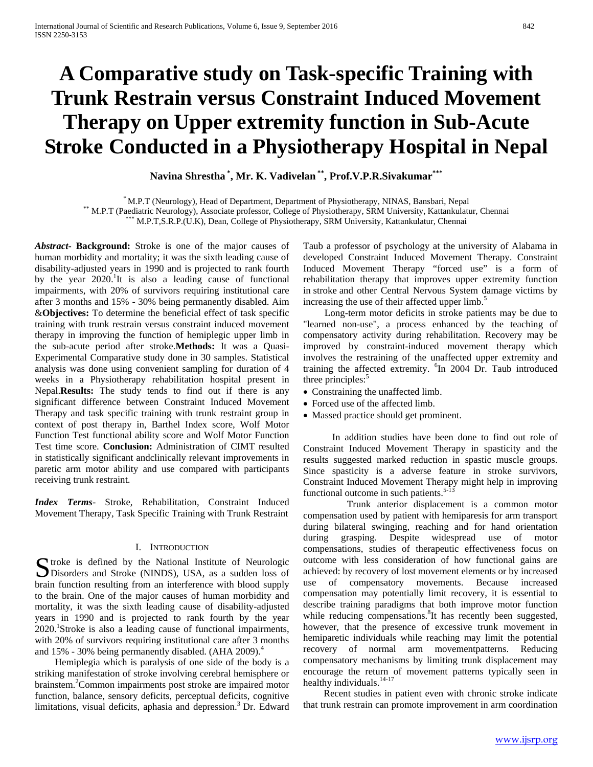# **A Comparative study on Task-specific Training with Trunk Restrain versus Constraint Induced Movement Therapy on Upper extremity function in Sub-Acute Stroke Conducted in a Physiotherapy Hospital in Nepal**

**Navina Shrestha \* , Mr. K. Vadivelan \*\*, Prof.V.P.R.Sivakumar\*\*\***

\* M.P.T (Neurology), Head of Department, Department of Physiotherapy, NINAS, Bansbari, Nepal<br>\*\* M.P.T (Paediatric Neurology), Associate professor, College of Physiotherapy, SRM University, Kattankulatur, Chennai<br>\*\*\* M.P.T,

*Abstract***- Background:** Stroke is one of the major causes of human morbidity and mortality; it was the sixth leading cause of disability-adjusted years in 1990 and is projected to rank fourth by the year  $2020$ .<sup>1</sup>It is also a leading cause of functional impairments, with 20% of survivors requiring institutional care after 3 months and 15% - 30% being permanently disabled. Aim &**Objectives:** To determine the beneficial effect of task specific training with trunk restrain versus constraint induced movement therapy in improving the function of hemiplegic upper limb in the sub-acute period after stroke.**Methods:** It was a Quasi-Experimental Comparative study done in 30 samples. Statistical analysis was done using convenient sampling for duration of 4 weeks in a Physiotherapy rehabilitation hospital present in Nepal.**Results:** The study tends to find out if there is any significant difference between Constraint Induced Movement Therapy and task specific training with trunk restraint group in context of post therapy in, Barthel Index score, Wolf Motor Function Test functional ability score and Wolf Motor Function Test time score. **Conclusion:** Administration of CIMT resulted in statistically significant andclinically relevant improvements in paretic arm motor ability and use compared with participants receiving trunk restraint.

*Index Terms*- Stroke, Rehabilitation, Constraint Induced Movement Therapy, Task Specific Training with Trunk Restraint

#### I. INTRODUCTION

Surface is defined by the National Institute of Neurologic<br>
Disorders and Stroke (NINDS), USA, as a sudden loss of Disorders and Stroke (NINDS), USA, as a sudden loss of brain function resulting from an interference with blood supply to the brain. One of the major causes of human morbidity and mortality, it was the sixth leading cause of disability-adjusted years in 1990 and is projected to rank fourth by the year 2020.<sup>1</sup>Stroke is also a leading cause of functional impairments, with 20% of survivors requiring institutional care after 3 months and  $15\%$  - 30% being permanently disabled. (AHA 2009).<sup>4</sup>

 Hemiplegia which is paralysis of one side of the body is a striking manifestation of stroke involving cerebral hemisphere or brainstem.<sup>2</sup> Common impairments post stroke are impaired motor function, balance, sensory deficits, perceptual deficits, cognitive limitations, visual deficits, aphasia and depression.<sup>3</sup> Dr. Edward

Taub a professor of psychology at the university of Alabama in developed Constraint Induced Movement Therapy. Constraint Induced Movement Therapy "forced use" is a form of rehabilitation therapy that improves upper extremity function in stroke and other Central Nervous System damage victims by increasing the use of their affected upper limb.<sup>5</sup>

 Long-term motor deficits in stroke patients may be due to "learned non-use", a process enhanced by the teaching of compensatory activity during rehabilitation. Recovery may be improved by constraint-induced movement therapy which involves the restraining of the unaffected upper extremity and training the affected extremity. <sup>6</sup>In 2004 Dr. Taub introduced three principles:<sup>5</sup>

- Constraining the unaffected limb.
- Forced use of the affected limb.
- Massed practice should get prominent.

 In addition studies have been done to find out role of Constraint Induced Movement Therapy in spasticity and the results suggested marked reduction in spastic muscle groups. Since spasticity is a adverse feature in stroke survivors, Constraint Induced Movement Therapy might help in improving functional outcome in such patients. $5-1$ 

 Trunk anterior displacement is a common motor compensation used by patient with hemiparesis for arm transport during bilateral swinging, reaching and for hand orientation during grasping. Despite widespread use of motor compensations, studies of therapeutic effectiveness focus on outcome with less consideration of how functional gains are achieved: by recovery of lost movement elements or by increased use of compensatory movements. Because increased compensation may potentially limit recovery, it is essential to describe training paradigms that both improve motor function while reducing compensations.<sup>8</sup>It has recently been suggested, however, that the presence of excessive trunk movement in hemiparetic individuals while reaching may limit the potential recovery of normal arm movementpatterns. Reducing compensatory mechanisms by limiting trunk displacement may encourage the return of movement patterns typically seen in healthy individuals.<sup>14-17</sup>

 Recent studies in patient even with chronic stroke indicate that trunk restrain can promote improvement in arm coordination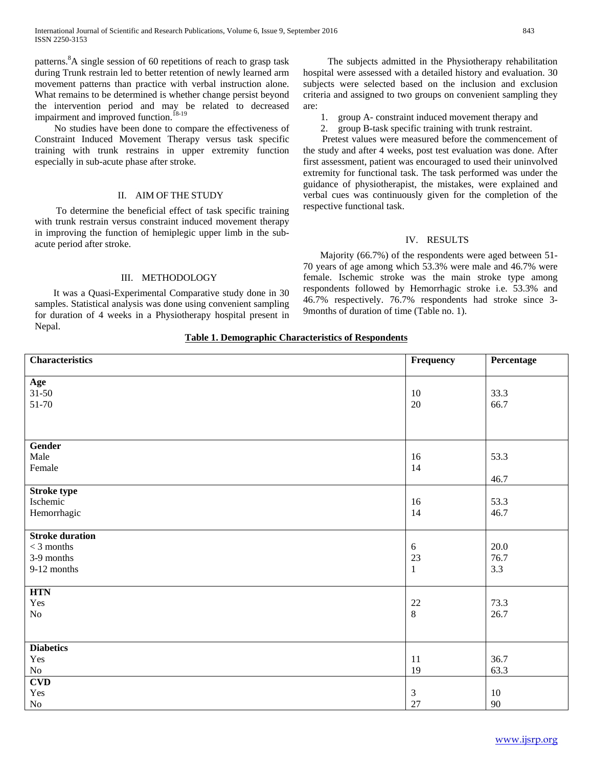patterns.<sup>8</sup>A single session of 60 repetitions of reach to grasp task during Trunk restrain led to better retention of newly learned arm movement patterns than practice with verbal instruction alone. What remains to be determined is whether change persist beyond the intervention period and may be related to decreased impairment and improved function.<sup>18-19</sup>

 No studies have been done to compare the effectiveness of Constraint Induced Movement Therapy versus task specific training with trunk restrains in upper extremity function especially in sub-acute phase after stroke.

#### II. AIM OF THE STUDY

 To determine the beneficial effect of task specific training with trunk restrain versus constraint induced movement therapy in improving the function of hemiplegic upper limb in the subacute period after stroke.

### III. METHODOLOGY

 It was a Quasi-Experimental Comparative study done in 30 samples. Statistical analysis was done using convenient sampling for duration of 4 weeks in a Physiotherapy hospital present in Nepal.

 The subjects admitted in the Physiotherapy rehabilitation hospital were assessed with a detailed history and evaluation. 30 subjects were selected based on the inclusion and exclusion criteria and assigned to two groups on convenient sampling they are:

1. group A- constraint induced movement therapy and

2. group B-task specific training with trunk restraint. Pretest values were measured before the commencement of the study and after 4 weeks, post test evaluation was done. After first assessment, patient was encouraged to used their uninvolved extremity for functional task. The task performed was under the guidance of physiotherapist, the mistakes, were explained and verbal cues was continuously given for the completion of the respective functional task.

## IV. RESULTS

 Majority (66.7%) of the respondents were aged between 51- 70 years of age among which 53.3% were male and 46.7% were female. Ischemic stroke was the main stroke type among respondents followed by Hemorrhagic stroke i.e. 53.3% and 46.7% respectively. 76.7% respondents had stroke since 3- 9months of duration of time (Table no. 1).

### **Table 1. Demographic Characteristics of Respondents**

| <b>Characteristics</b> | Frequency      | Percentage |
|------------------------|----------------|------------|
| Age                    |                |            |
| $31 - 50$              | 10             | 33.3       |
| 51-70                  | $20\,$         | 66.7       |
|                        |                |            |
|                        |                |            |
| Gender                 |                |            |
| Male                   | 16             | 53.3       |
| Female                 | 14             |            |
|                        |                | 46.7       |
| <b>Stroke type</b>     |                |            |
| Ischemic               | 16             | 53.3       |
| Hemorrhagic            | 14             | 46.7       |
| <b>Stroke duration</b> |                |            |
| $<$ 3 months           | $\sqrt{6}$     | 20.0       |
| 3-9 months             | 23             | 76.7       |
| 9-12 months            | $\mathbf{1}$   | 3.3        |
|                        |                |            |
| <b>HTN</b>             |                |            |
| Yes                    | 22             | 73.3       |
| $\rm No$               | $\,8\,$        | 26.7       |
|                        |                |            |
| <b>Diabetics</b>       |                |            |
| Yes                    | 11             | 36.7       |
| $\rm No$               | 19             | 63.3       |
| CVD                    |                |            |
| Yes                    | $\mathfrak{Z}$ | 10         |
| $\rm No$               | 27             | 90         |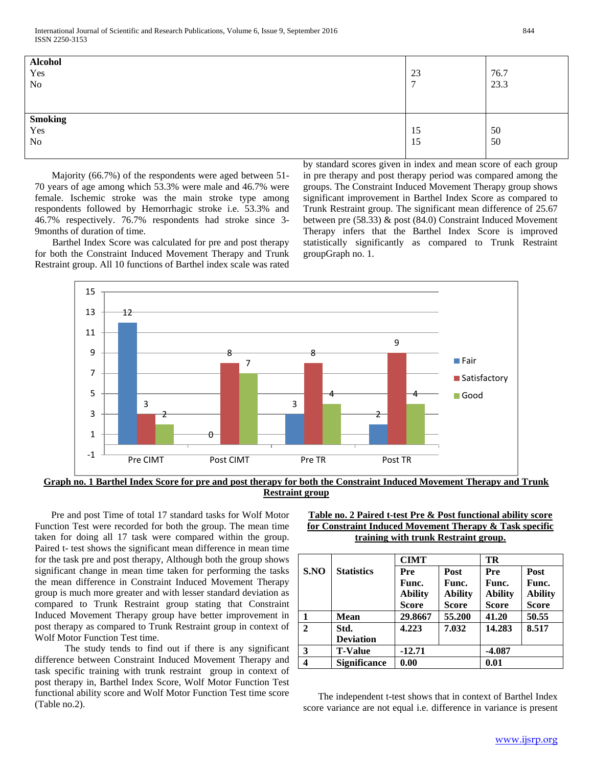| <b>Alcohol</b><br>Yes<br>$\rm No$ | 23 | 76.7<br>23.3 |
|-----------------------------------|----|--------------|
| <b>Smoking</b><br>Yes             | 15 | 50           |
| $\rm No$                          | 15 | 50           |

 Majority (66.7%) of the respondents were aged between 51- 70 years of age among which 53.3% were male and 46.7% were female. Ischemic stroke was the main stroke type among respondents followed by Hemorrhagic stroke i.e. 53.3% and 46.7% respectively. 76.7% respondents had stroke since 3- 9months of duration of time. Barthel Index Score was calculated for pre and post therapy

for both the Constraint Induced Movement Therapy and Trunk Restraint group. All 10 functions of Barthel index scale was rated by standard scores given in index and mean score of each group in pre therapy and post therapy period was compared among the groups. The Constraint Induced Movement Therapy group shows significant improvement in Barthel Index Score as compared to Trunk Restraint group. The significant mean difference of 25.67 between pre (58.33) & post (84.0) Constraint Induced Movement Therapy infers that the Barthel Index Score is improved statistically significantly as compared to Trunk Restraint groupGraph no. 1.



**Graph no. 1 Barthel Index Score for pre and post therapy for both the Constraint Induced Movement Therapy and Trunk Restraint group**

 Pre and post Time of total 17 standard tasks for Wolf Motor Function Test were recorded for both the group. The mean time taken for doing all 17 task were compared within the group. Paired t- test shows the significant mean difference in mean time for the task pre and post therapy, Although both the group shows significant change in mean time taken for performing the tasks the mean difference in Constraint Induced Movement Therapy group is much more greater and with lesser standard deviation as compared to Trunk Restraint group stating that Constraint Induced Movement Therapy group have better improvement in post therapy as compared to Trunk Restraint group in context of Wolf Motor Function Test time.

 The study tends to find out if there is any significant difference between Constraint Induced Movement Therapy and task specific training with trunk restraint group in context of post therapy in, Barthel Index Score, Wolf Motor Function Test functional ability score and Wolf Motor Function Test time score (Table no.2).

| Table no. 2 Paired t-test Pre & Post functional ability score |
|---------------------------------------------------------------|
| for Constraint Induced Movement Therapy $\&$ Task specific    |
| training with trunk Restraint group.                          |

|                         |                     | <b>CIMT</b>    |                | TR             |                |
|-------------------------|---------------------|----------------|----------------|----------------|----------------|
| S.NO                    | <b>Statistics</b>   | Pre            | Post           | Pre            | Post           |
|                         |                     | Func.          | Func.          | Func.          | Func.          |
|                         |                     | <b>Ability</b> | <b>Ability</b> | <b>Ability</b> | <b>Ability</b> |
|                         |                     | <b>Score</b>   | <b>Score</b>   | <b>Score</b>   | <b>Score</b>   |
| 1                       | <b>Mean</b>         | 29.8667        | 55.200         | 41.20          | 50.55          |
| $\mathbf{2}$            | Std.                | 4.223          | 7.032          | 14.283         | 8.517          |
|                         | <b>Deviation</b>    |                |                |                |                |
| 3                       | <b>T-Value</b>      | $-12.71$       |                | $-4.087$       |                |
| $\overline{\mathbf{4}}$ | <b>Significance</b> | 0.00           |                | 0.01           |                |

 The independent t-test shows that in context of Barthel Index score variance are not equal i.e. difference in variance is present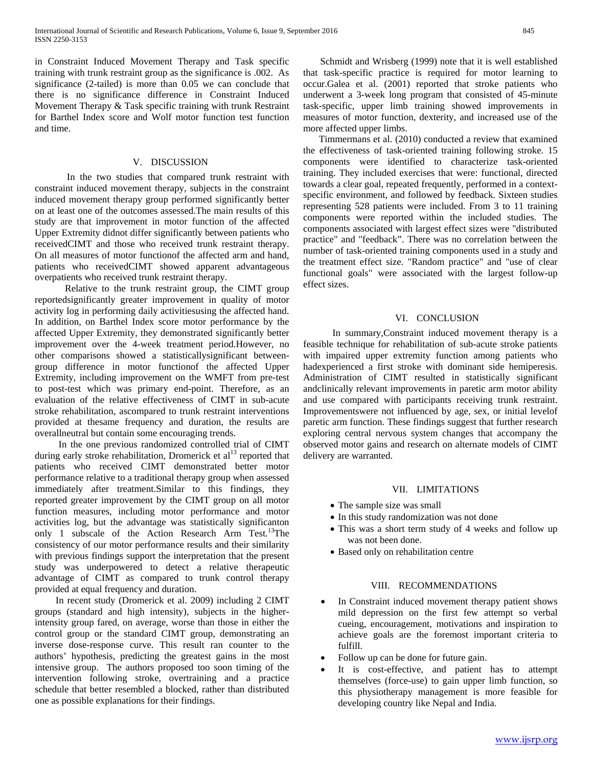in Constraint Induced Movement Therapy and Task specific training with trunk restraint group as the significance is .002. As significance (2-tailed) is more than 0.05 we can conclude that there is no significance difference in Constraint Induced Movement Therapy & Task specific training with trunk Restraint for Barthel Index score and Wolf motor function test function and time.

# V. DISCUSSION

 In the two studies that compared trunk restraint with constraint induced movement therapy, subjects in the constraint induced movement therapy group performed significantly better on at least one of the outcomes assessed.The main results of this study are that improvement in motor function of the affected Upper Extremity didnot differ significantly between patients who receivedCIMT and those who received trunk restraint therapy. On all measures of motor functionof the affected arm and hand, patients who receivedCIMT showed apparent advantageous overpatients who received trunk restraint therapy.

 Relative to the trunk restraint group, the CIMT group reportedsignificantly greater improvement in quality of motor activity log in performing daily activitiesusing the affected hand. In addition, on Barthel Index score motor performance by the affected Upper Extremity, they demonstrated significantly better improvement over the 4-week treatment period.However, no other comparisons showed a statisticallysignificant betweengroup difference in motor functionof the affected Upper Extremity, including improvement on the WMFT from pre-test to post-test which was primary end-point. Therefore, as an evaluation of the relative effectiveness of CIMT in sub-acute stroke rehabilitation, ascompared to trunk restraint interventions provided at thesame frequency and duration, the results are overallneutral but contain some encouraging trends.

 In the one previous randomized controlled trial of CIMT during early stroke rehabilitation, Dromerick et al<sup>13</sup> reported that patients who received CIMT demonstrated better motor performance relative to a traditional therapy group when assessed immediately after treatment.Similar to this findings, they reported greater improvement by the CIMT group on all motor function measures, including motor performance and motor activities log, but the advantage was statistically significanton only 1 subscale of the Action Research Arm Test.<sup>13</sup>The consistency of our motor performance results and their similarity with previous findings support the interpretation that the present study was underpowered to detect a relative therapeutic advantage of CIMT as compared to trunk control therapy provided at equal frequency and duration.

 In recent study (Dromerick et al. 2009) including 2 CIMT groups (standard and high intensity), subjects in the higherintensity group fared, on average, worse than those in either the control group or the standard CIMT group, demonstrating an inverse dose-response curve. This result ran counter to the authors' hypothesis, predicting the greatest gains in the most intensive group. The authors proposed too soon timing of the intervention following stroke, overtraining and a practice schedule that better resembled a blocked, rather than distributed one as possible explanations for their findings.

 Schmidt and Wrisberg (1999) note that it is well established that task-specific practice is required for motor learning to occur.Galea et al. (2001) reported that stroke patients who underwent a 3-week long program that consisted of 45-minute task-specific, upper limb training showed improvements in measures of motor function, dexterity, and increased use of the more affected upper limbs.

 Timmermans et al. (2010) conducted a review that examined the effectiveness of task-oriented training following stroke. 15 components were identified to characterize task-oriented training. They included exercises that were: functional, directed towards a clear goal, repeated frequently, performed in a contextspecific environment, and followed by feedback. Sixteen studies representing 528 patients were included. From 3 to 11 training components were reported within the included studies. The components associated with largest effect sizes were "distributed practice" and "feedback". There was no correlation between the number of task-oriented training components used in a study and the treatment effect size. "Random practice" and "use of clear functional goals" were associated with the largest follow-up effect sizes.

## VI. CONCLUSION

 In summary,Constraint induced movement therapy is a feasible technique for rehabilitation of sub-acute stroke patients with impaired upper extremity function among patients who hadexperienced a first stroke with dominant side hemiperesis. Administration of CIMT resulted in statistically significant andclinically relevant improvements in paretic arm motor ability and use compared with participants receiving trunk restraint. Improvementswere not influenced by age, sex, or initial levelof paretic arm function. These findings suggest that further research exploring central nervous system changes that accompany the observed motor gains and research on alternate models of CIMT delivery are warranted.

# VII. LIMITATIONS

- The sample size was small
- In this study randomization was not done
- This was a short term study of 4 weeks and follow up was not been done.
- Based only on rehabilitation centre

# VIII. RECOMMENDATIONS

- In Constraint induced movement therapy patient shows mild depression on the first few attempt so verbal cueing, encouragement, motivations and inspiration to achieve goals are the foremost important criteria to fulfill.
- Follow up can be done for future gain.
- It is cost-effective, and patient has to attempt themselves (force-use) to gain upper limb function, so this physiotherapy management is more feasible for developing country like Nepal and India.